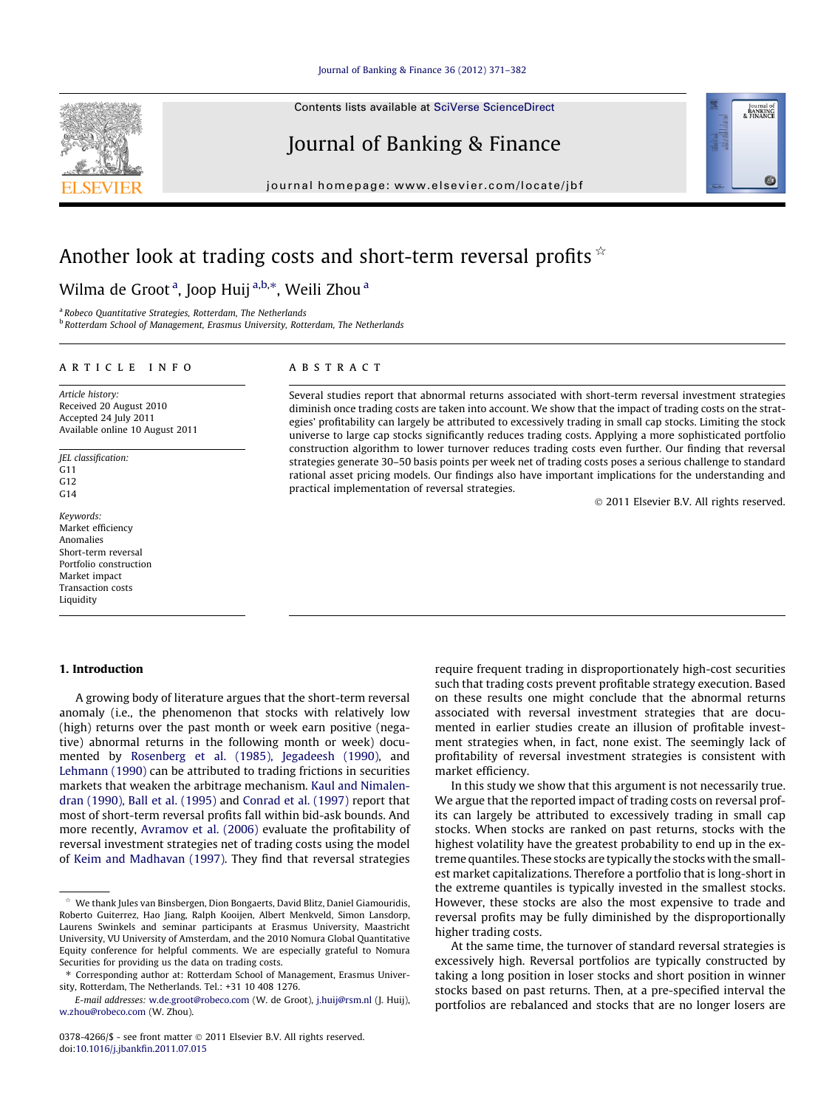#### [Journal of Banking & Finance 36 \(2012\) 371–382](http://dx.doi.org/10.1016/j.jbankfin.2011.07.015)

Contents lists available at [SciVerse ScienceDirect](http://www.sciencedirect.com/science/journal/03784266)

## Journal of Banking & Finance

journal homepage: [www.elsevier.com/locate/jbf](http://www.elsevier.com/locate/jbf)

## Another look at trading costs and short-term reversal profits  $\dot{\mathbf{x}}$

### Wilma de Groot <sup>a</sup>, Joop Huij <sup>a,b,</sup>\*, Weili Zhou <sup>a</sup>

<sup>a</sup> Robeco Quantitative Strategies, Rotterdam, The Netherlands b Rotterdam School of Management, Erasmus University, Rotterdam, The Netherlands

#### article info

Article history: Received 20 August 2010 Accepted 24 July 2011 Available online 10 August 2011

JEL classification:  $G11$ G12  $G14$ 

Keywords: Market efficiency Anomalies Short-term reversal Portfolio construction Market impact Transaction costs Liquidity

#### 1. Introduction

#### A growing body of literature argues that the short-term reversal anomaly (i.e., the phenomenon that stocks with relatively low (high) returns over the past month or week earn positive (negative) abnormal returns in the following month or week) documented by [Rosenberg et al. \(1985\), Jegadeesh \(1990\)](#page--1-0), and [Lehmann \(1990\)](#page--1-0) can be attributed to trading frictions in securities markets that weaken the arbitrage mechanism. [Kaul and Nimalen](#page--1-0)[dran \(1990\), Ball et al. \(1995\)](#page--1-0) and [Conrad et al. \(1997\)](#page--1-0) report that most of short-term reversal profits fall within bid-ask bounds. And more recently, [Avramov et al. \(2006\)](#page--1-0) evaluate the profitability of reversal investment strategies net of trading costs using the model of [Keim and Madhavan \(1997\).](#page--1-0) They find that reversal strategies

#### **ABSTRACT**

Several studies report that abnormal returns associated with short-term reversal investment strategies diminish once trading costs are taken into account. We show that the impact of trading costs on the strategies' profitability can largely be attributed to excessively trading in small cap stocks. Limiting the stock universe to large cap stocks significantly reduces trading costs. Applying a more sophisticated portfolio construction algorithm to lower turnover reduces trading costs even further. Our finding that reversal strategies generate 30–50 basis points per week net of trading costs poses a serious challenge to standard rational asset pricing models. Our findings also have important implications for the understanding and practical implementation of reversal strategies.

- 2011 Elsevier B.V. All rights reserved.

Journal of<br>BANKING<br>& FINANCE

require frequent trading in disproportionately high-cost securities such that trading costs prevent profitable strategy execution. Based on these results one might conclude that the abnormal returns associated with reversal investment strategies that are documented in earlier studies create an illusion of profitable investment strategies when, in fact, none exist. The seemingly lack of profitability of reversal investment strategies is consistent with market efficiency.

In this study we show that this argument is not necessarily true. We argue that the reported impact of trading costs on reversal profits can largely be attributed to excessively trading in small cap stocks. When stocks are ranked on past returns, stocks with the highest volatility have the greatest probability to end up in the extreme quantiles. These stocks are typically the stocks with the smallest market capitalizations. Therefore a portfolio that is long-short in the extreme quantiles is typically invested in the smallest stocks. However, these stocks are also the most expensive to trade and reversal profits may be fully diminished by the disproportionally higher trading costs.

At the same time, the turnover of standard reversal strategies is excessively high. Reversal portfolios are typically constructed by taking a long position in loser stocks and short position in winner stocks based on past returns. Then, at a pre-specified interval the portfolios are rebalanced and stocks that are no longer losers are



We thank Jules van Binsbergen, Dion Bongaerts, David Blitz, Daniel Giamouridis, Roberto Guiterrez, Hao Jiang, Ralph Kooijen, Albert Menkveld, Simon Lansdorp, Laurens Swinkels and seminar participants at Erasmus University, Maastricht University, VU University of Amsterdam, and the 2010 Nomura Global Quantitative Equity conference for helpful comments. We are especially grateful to Nomura Securities for providing us the data on trading costs.

<sup>⇑</sup> Corresponding author at: Rotterdam School of Management, Erasmus University, Rotterdam, The Netherlands. Tel.: +31 10 408 1276.

E-mail addresses: [w.de.groot@robeco.com](mailto:w.de.groot@robeco.com) (W. de Groot), [j.huij@rsm.nl](mailto:j.huij@rsm.nl) (J. Huij), [w.zhou@robeco.com](mailto:w.zhou@robeco.com) (W. Zhou).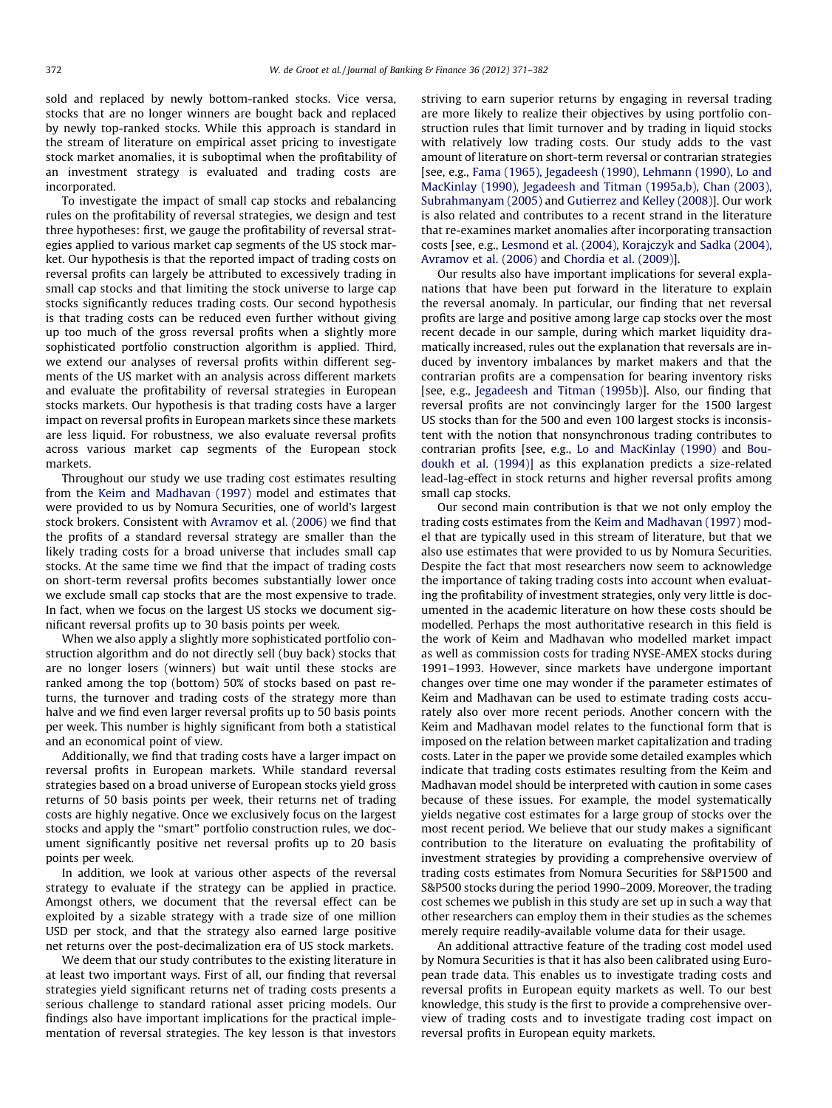sold and replaced by newly bottom-ranked stocks. Vice versa, stocks that are no longer winners are bought back and replaced by newly top-ranked stocks. While this approach is standard in the stream of literature on empirical asset pricing to investigate stock market anomalies, it is suboptimal when the profitability of an investment strategy is evaluated and trading costs are incorporated.

To investigate the impact of small cap stocks and rebalancing rules on the profitability of reversal strategies, we design and test three hypotheses: first, we gauge the profitability of reversal strategies applied to various market cap segments of the US stock market. Our hypothesis is that the reported impact of trading costs on reversal profits can largely be attributed to excessively trading in small cap stocks and that limiting the stock universe to large cap stocks significantly reduces trading costs. Our second hypothesis is that trading costs can be reduced even further without giving up too much of the gross reversal profits when a slightly more sophisticated portfolio construction algorithm is applied. Third, we extend our analyses of reversal profits within different segments of the US market with an analysis across different markets and evaluate the profitability of reversal strategies in European stocks markets. Our hypothesis is that trading costs have a larger impact on reversal profits in European markets since these markets are less liquid. For robustness, we also evaluate reversal profits across various market cap segments of the European stock markets.

Throughout our study we use trading cost estimates resulting from the [Keim and Madhavan \(1997\)](#page--1-0) model and estimates that were provided to us by Nomura Securities, one of world's largest stock brokers. Consistent with [Avramov et al. \(2006\)](#page--1-0) we find that the profits of a standard reversal strategy are smaller than the likely trading costs for a broad universe that includes small cap stocks. At the same time we find that the impact of trading costs on short-term reversal profits becomes substantially lower once we exclude small cap stocks that are the most expensive to trade. In fact, when we focus on the largest US stocks we document significant reversal profits up to 30 basis points per week.

When we also apply a slightly more sophisticated portfolio construction algorithm and do not directly sell (buy back) stocks that are no longer losers (winners) but wait until these stocks are ranked among the top (bottom) 50% of stocks based on past returns, the turnover and trading costs of the strategy more than halve and we find even larger reversal profits up to 50 basis points per week. This number is highly significant from both a statistical and an economical point of view.

Additionally, we find that trading costs have a larger impact on reversal profits in European markets. While standard reversal strategies based on a broad universe of European stocks yield gross returns of 50 basis points per week, their returns net of trading costs are highly negative. Once we exclusively focus on the largest stocks and apply the ''smart'' portfolio construction rules, we document significantly positive net reversal profits up to 20 basis points per week.

In addition, we look at various other aspects of the reversal strategy to evaluate if the strategy can be applied in practice. Amongst others, we document that the reversal effect can be exploited by a sizable strategy with a trade size of one million USD per stock, and that the strategy also earned large positive net returns over the post-decimalization era of US stock markets.

We deem that our study contributes to the existing literature in at least two important ways. First of all, our finding that reversal strategies yield significant returns net of trading costs presents a serious challenge to standard rational asset pricing models. Our findings also have important implications for the practical implementation of reversal strategies. The key lesson is that investors striving to earn superior returns by engaging in reversal trading are more likely to realize their objectives by using portfolio construction rules that limit turnover and by trading in liquid stocks with relatively low trading costs. Our study adds to the vast amount of literature on short-term reversal or contrarian strategies [see, e.g., [Fama \(1965\), Jegadeesh \(1990\), Lehmann \(1990\), Lo and](#page--1-0) [MacKinlay \(1990\), Jegadeesh and Titman \(1995a,b\), Chan \(2003\),](#page--1-0) [Subrahmanyam \(2005\)](#page--1-0) and [Gutierrez and Kelley \(2008\)](#page--1-0)]. Our work is also related and contributes to a recent strand in the literature that re-examines market anomalies after incorporating transaction costs [see, e.g., [Lesmond et al. \(2004\), Korajczyk and Sadka \(2004\),](#page--1-0) [Avramov et al. \(2006\)](#page--1-0) and [Chordia et al. \(2009\)](#page--1-0)].

Our results also have important implications for several explanations that have been put forward in the literature to explain the reversal anomaly. In particular, our finding that net reversal profits are large and positive among large cap stocks over the most recent decade in our sample, during which market liquidity dramatically increased, rules out the explanation that reversals are induced by inventory imbalances by market makers and that the contrarian profits are a compensation for bearing inventory risks [see, e.g., [Jegadeesh and Titman \(1995b\)](#page--1-0)]. Also, our finding that reversal profits are not convincingly larger for the 1500 largest US stocks than for the 500 and even 100 largest stocks is inconsistent with the notion that nonsynchronous trading contributes to contrarian profits [see, e.g., [Lo and MacKinlay \(1990\)](#page--1-0) and [Bou](#page--1-0)[doukh et al. \(1994\)](#page--1-0)] as this explanation predicts a size-related lead-lag-effect in stock returns and higher reversal profits among small cap stocks.

Our second main contribution is that we not only employ the trading costs estimates from the [Keim and Madhavan \(1997\)](#page--1-0) model that are typically used in this stream of literature, but that we also use estimates that were provided to us by Nomura Securities. Despite the fact that most researchers now seem to acknowledge the importance of taking trading costs into account when evaluating the profitability of investment strategies, only very little is documented in the academic literature on how these costs should be modelled. Perhaps the most authoritative research in this field is the work of Keim and Madhavan who modelled market impact as well as commission costs for trading NYSE-AMEX stocks during 1991–1993. However, since markets have undergone important changes over time one may wonder if the parameter estimates of Keim and Madhavan can be used to estimate trading costs accurately also over more recent periods. Another concern with the Keim and Madhavan model relates to the functional form that is imposed on the relation between market capitalization and trading costs. Later in the paper we provide some detailed examples which indicate that trading costs estimates resulting from the Keim and Madhavan model should be interpreted with caution in some cases because of these issues. For example, the model systematically yields negative cost estimates for a large group of stocks over the most recent period. We believe that our study makes a significant contribution to the literature on evaluating the profitability of investment strategies by providing a comprehensive overview of trading costs estimates from Nomura Securities for S&P1500 and S&P500 stocks during the period 1990–2009. Moreover, the trading cost schemes we publish in this study are set up in such a way that other researchers can employ them in their studies as the schemes merely require readily-available volume data for their usage.

An additional attractive feature of the trading cost model used by Nomura Securities is that it has also been calibrated using European trade data. This enables us to investigate trading costs and reversal profits in European equity markets as well. To our best knowledge, this study is the first to provide a comprehensive overview of trading costs and to investigate trading cost impact on reversal profits in European equity markets.